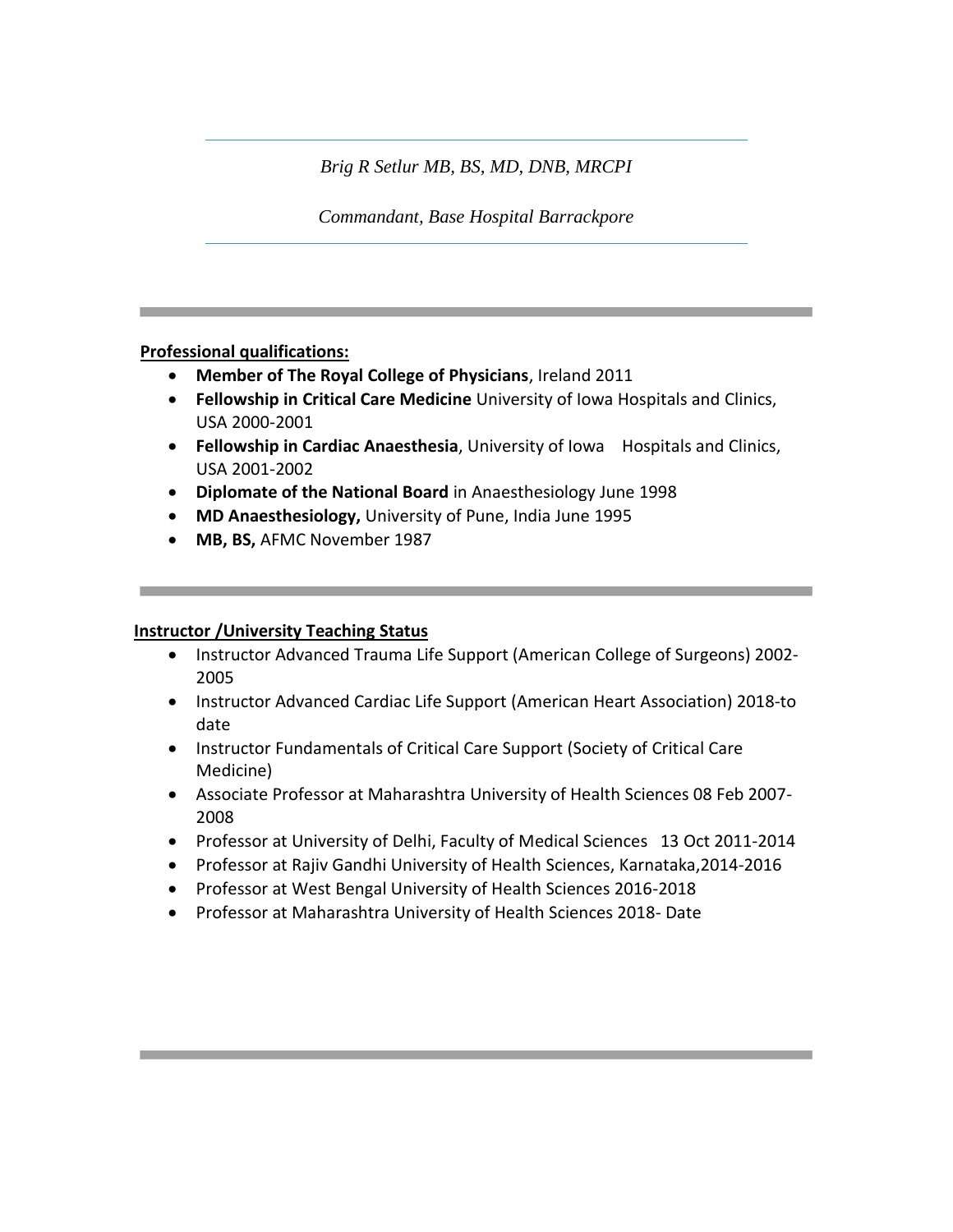*Brig R Setlur MB, BS, MD, DNB, MRCPI* 

*Commandant, Base Hospital Barrackpore*

#### **Professional qualifications:**

- **Member of The Royal College of Physicians**, Ireland 2011
- **Fellowship in Critical Care Medicine** University of Iowa Hospitals and Clinics, USA 2000-2001
- **Fellowship in Cardiac Anaesthesia**, University of Iowa Hospitals and Clinics, USA 2001-2002
- **Diplomate of the National Board** in Anaesthesiology June 1998
- **MD Anaesthesiology,** University of Pune, India June 1995
- **MB, BS,** AFMC November 1987

#### **Instructor /University Teaching Status**

- Instructor Advanced Trauma Life Support (American College of Surgeons) 2002-2005
- Instructor Advanced Cardiac Life Support (American Heart Association) 2018-to date
- Instructor Fundamentals of Critical Care Support (Society of Critical Care Medicine)
- Associate Professor at Maharashtra University of Health Sciences 08 Feb 2007- 2008
- Professor at University of Delhi, Faculty of Medical Sciences 13 Oct 2011-2014
- Professor at Rajiv Gandhi University of Health Sciences, Karnataka,2014-2016
- Professor at West Bengal University of Health Sciences 2016-2018
- Professor at Maharashtra University of Health Sciences 2018- Date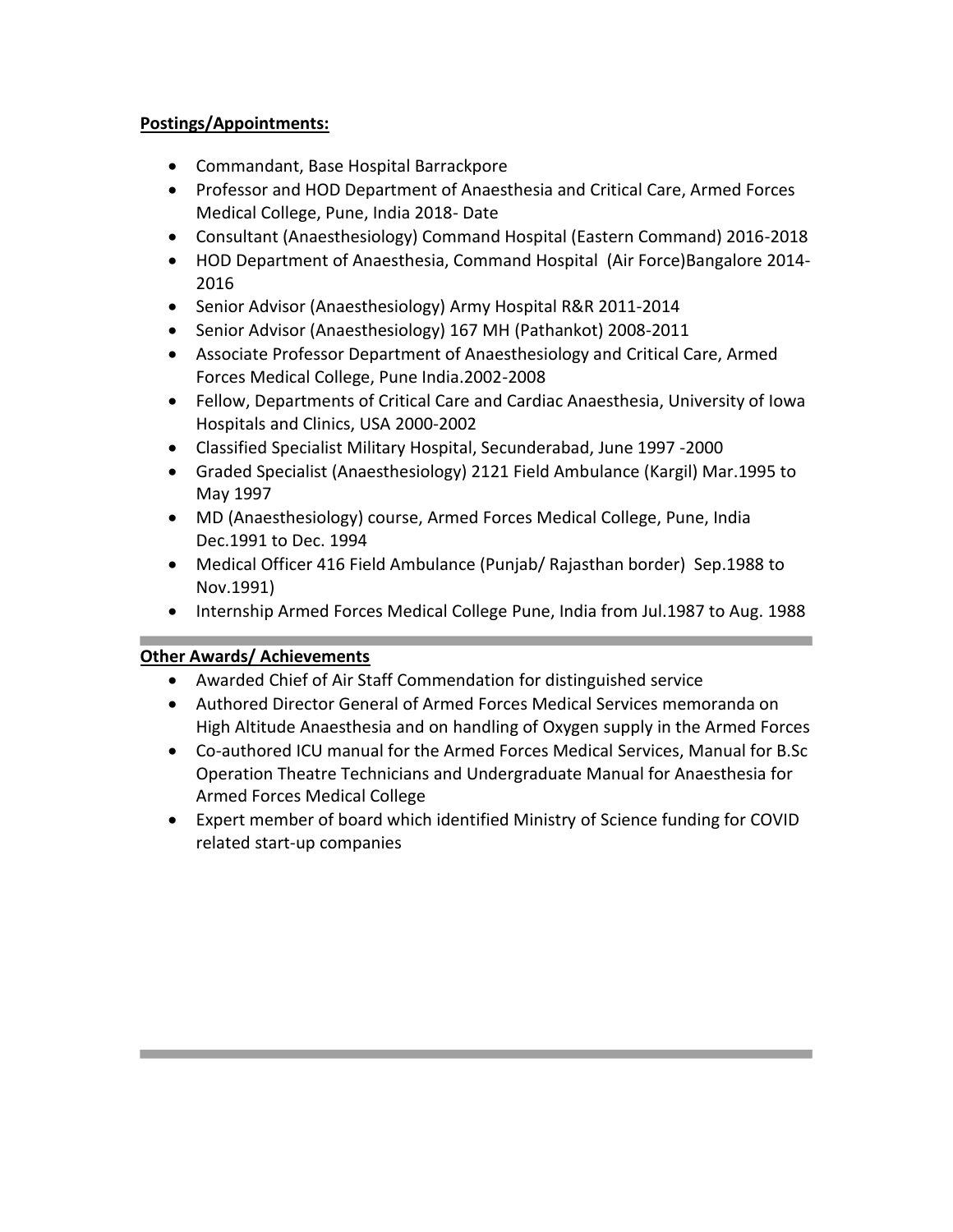## **Postings/Appointments:**

- Commandant, Base Hospital Barrackpore
- Professor and HOD Department of Anaesthesia and Critical Care, Armed Forces Medical College, Pune, India 2018- Date
- Consultant (Anaesthesiology) Command Hospital (Eastern Command) 2016-2018
- HOD Department of Anaesthesia, Command Hospital (Air Force)Bangalore 2014- 2016
- Senior Advisor (Anaesthesiology) Army Hospital R&R 2011-2014
- Senior Advisor (Anaesthesiology) 167 MH (Pathankot) 2008-2011
- Associate Professor Department of Anaesthesiology and Critical Care, Armed Forces Medical College, Pune India.2002-2008
- Fellow, Departments of Critical Care and Cardiac Anaesthesia, University of Iowa Hospitals and Clinics, USA 2000-2002
- Classified Specialist Military Hospital, Secunderabad, June 1997 -2000
- Graded Specialist (Anaesthesiology) 2121 Field Ambulance (Kargil) Mar.1995 to May 1997
- MD (Anaesthesiology) course, Armed Forces Medical College, Pune, India Dec.1991 to Dec. 1994
- Medical Officer 416 Field Ambulance (Punjab/ Rajasthan border) Sep.1988 to Nov.1991)
- Internship Armed Forces Medical College Pune, India from Jul.1987 to Aug. 1988

## **Other Awards/ Achievements**

- Awarded Chief of Air Staff Commendation for distinguished service
- Authored Director General of Armed Forces Medical Services memoranda on High Altitude Anaesthesia and on handling of Oxygen supply in the Armed Forces
- Co-authored ICU manual for the Armed Forces Medical Services, Manual for B.Sc Operation Theatre Technicians and Undergraduate Manual for Anaesthesia for Armed Forces Medical College
- Expert member of board which identified Ministry of Science funding for COVID related start-up companies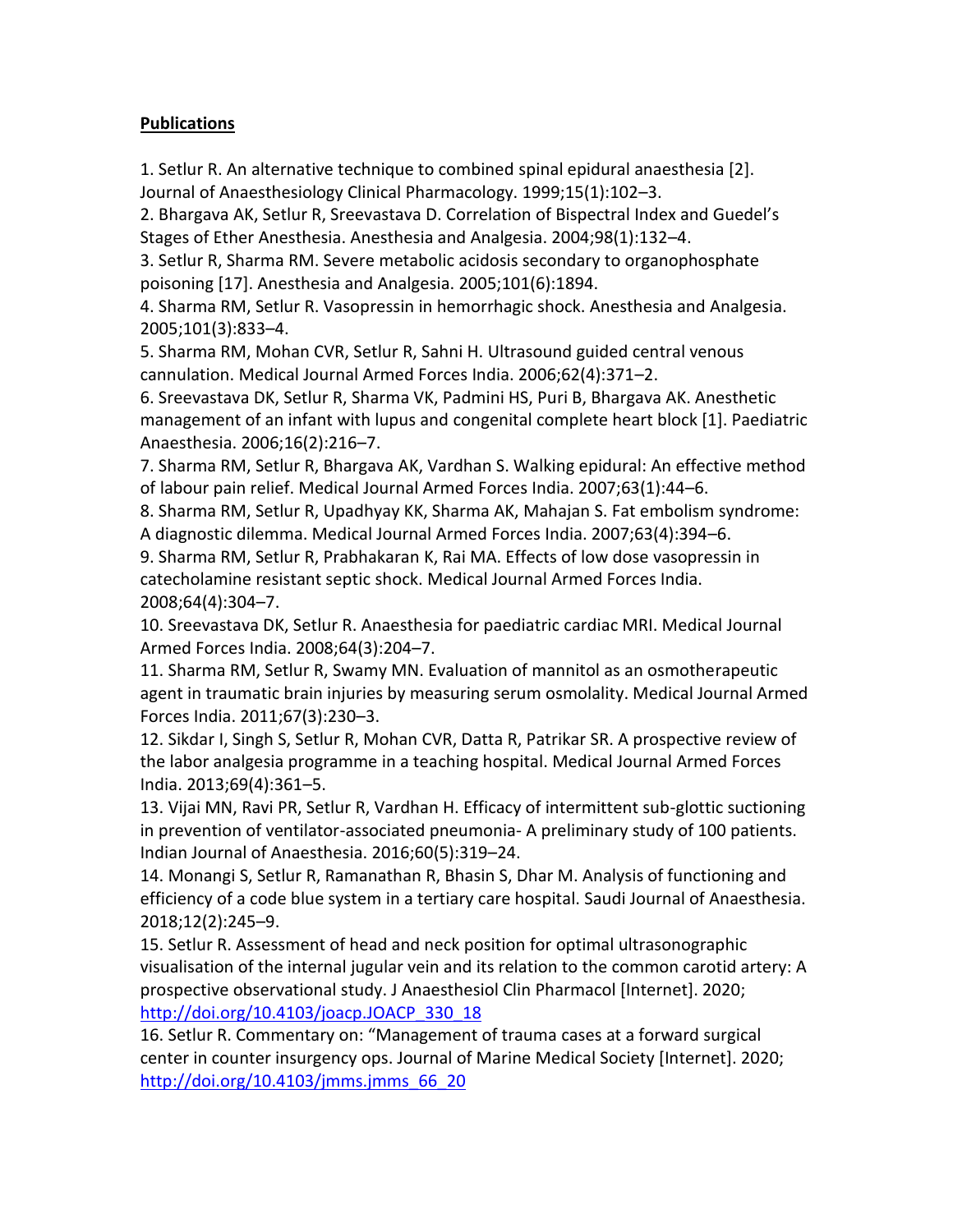## **Publications**

1. Setlur R. An alternative technique to combined spinal epidural anaesthesia [2]. Journal of Anaesthesiology Clinical Pharmacology. 1999;15(1):102–3.

2. Bhargava AK, Setlur R, Sreevastava D. Correlation of Bispectral Index and Guedel's Stages of Ether Anesthesia. Anesthesia and Analgesia. 2004;98(1):132–4.

3. Setlur R, Sharma RM. Severe metabolic acidosis secondary to organophosphate poisoning [17]. Anesthesia and Analgesia. 2005;101(6):1894.

4. Sharma RM, Setlur R. Vasopressin in hemorrhagic shock. Anesthesia and Analgesia. 2005;101(3):833–4.

5. Sharma RM, Mohan CVR, Setlur R, Sahni H. Ultrasound guided central venous cannulation. Medical Journal Armed Forces India. 2006;62(4):371–2.

6. Sreevastava DK, Setlur R, Sharma VK, Padmini HS, Puri B, Bhargava AK. Anesthetic management of an infant with lupus and congenital complete heart block [1]. Paediatric Anaesthesia. 2006;16(2):216–7.

7. Sharma RM, Setlur R, Bhargava AK, Vardhan S. Walking epidural: An effective method of labour pain relief. Medical Journal Armed Forces India. 2007;63(1):44–6.

8. Sharma RM, Setlur R, Upadhyay KK, Sharma AK, Mahajan S. Fat embolism syndrome: A diagnostic dilemma. Medical Journal Armed Forces India. 2007;63(4):394–6.

9. Sharma RM, Setlur R, Prabhakaran K, Rai MA. Effects of low dose vasopressin in catecholamine resistant septic shock. Medical Journal Armed Forces India. 2008;64(4):304–7.

10. Sreevastava DK, Setlur R. Anaesthesia for paediatric cardiac MRI. Medical Journal Armed Forces India. 2008;64(3):204–7.

11. Sharma RM, Setlur R, Swamy MN. Evaluation of mannitol as an osmotherapeutic agent in traumatic brain injuries by measuring serum osmolality. Medical Journal Armed Forces India. 2011;67(3):230–3.

12. Sikdar I, Singh S, Setlur R, Mohan CVR, Datta R, Patrikar SR. A prospective review of the labor analgesia programme in a teaching hospital. Medical Journal Armed Forces India. 2013;69(4):361–5.

13. Vijai MN, Ravi PR, Setlur R, Vardhan H. Efficacy of intermittent sub-glottic suctioning in prevention of ventilator-associated pneumonia- A preliminary study of 100 patients. Indian Journal of Anaesthesia. 2016;60(5):319–24.

14. Monangi S, Setlur R, Ramanathan R, Bhasin S, Dhar M. Analysis of functioning and efficiency of a code blue system in a tertiary care hospital. Saudi Journal of Anaesthesia. 2018;12(2):245–9.

15. Setlur R. Assessment of head and neck position for optimal ultrasonographic visualisation of the internal jugular vein and its relation to the common carotid artery: A prospective observational study. J Anaesthesiol Clin Pharmacol [Internet]. 2020; [http://doi.org/10.4103/joacp.JOACP\\_330\\_18](http://doi.org/10.4103/joacp.JOACP_330_18)

16. Setlur R. Commentary on: "Management of trauma cases at a forward surgical center in counter insurgency ops. Journal of Marine Medical Society [Internet]. 2020; [http://doi.org/10.4103/jmms.jmms\\_66\\_20](http://doi.org/10.4103/jmms.jmms_66_20)